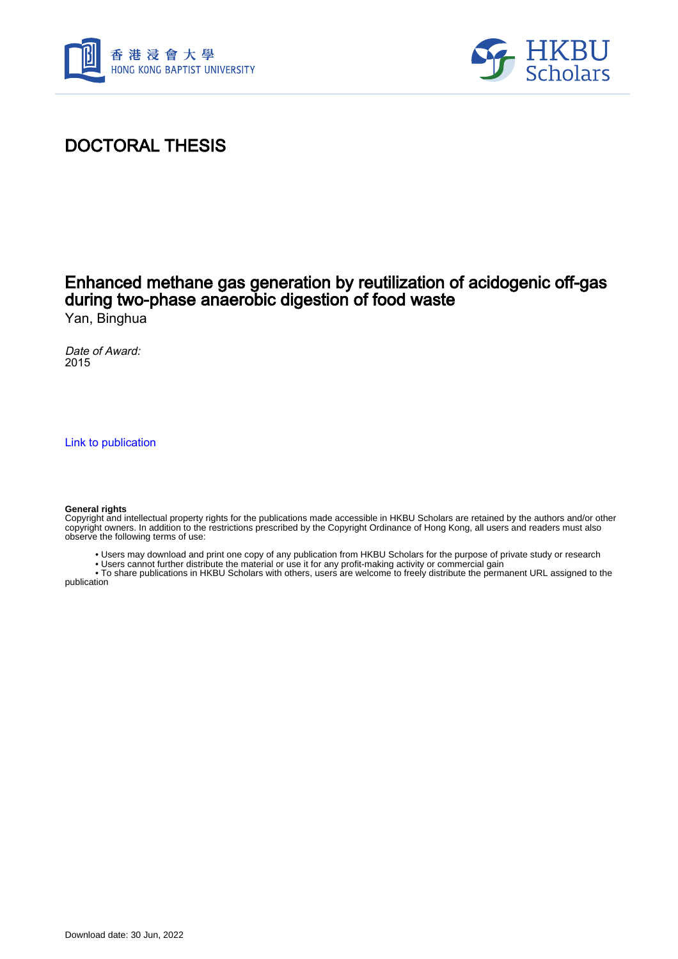



# DOCTORAL THESIS

# Enhanced methane gas generation by reutilization of acidogenic off-gas during two-phase anaerobic digestion of food waste

Yan, Binghua

Date of Award: 2015

[Link to publication](https://scholars.hkbu.edu.hk/en/studentTheses/70b11e75-81c8-44fd-b5f8-a17789aa2212)

#### **General rights**

Copyright and intellectual property rights for the publications made accessible in HKBU Scholars are retained by the authors and/or other copyright owners. In addition to the restrictions prescribed by the Copyright Ordinance of Hong Kong, all users and readers must also observe the following terms of use:

- Users may download and print one copy of any publication from HKBU Scholars for the purpose of private study or research
- Users cannot further distribute the material or use it for any profit-making activity or commercial gain

 • To share publications in HKBU Scholars with others, users are welcome to freely distribute the permanent URL assigned to the publication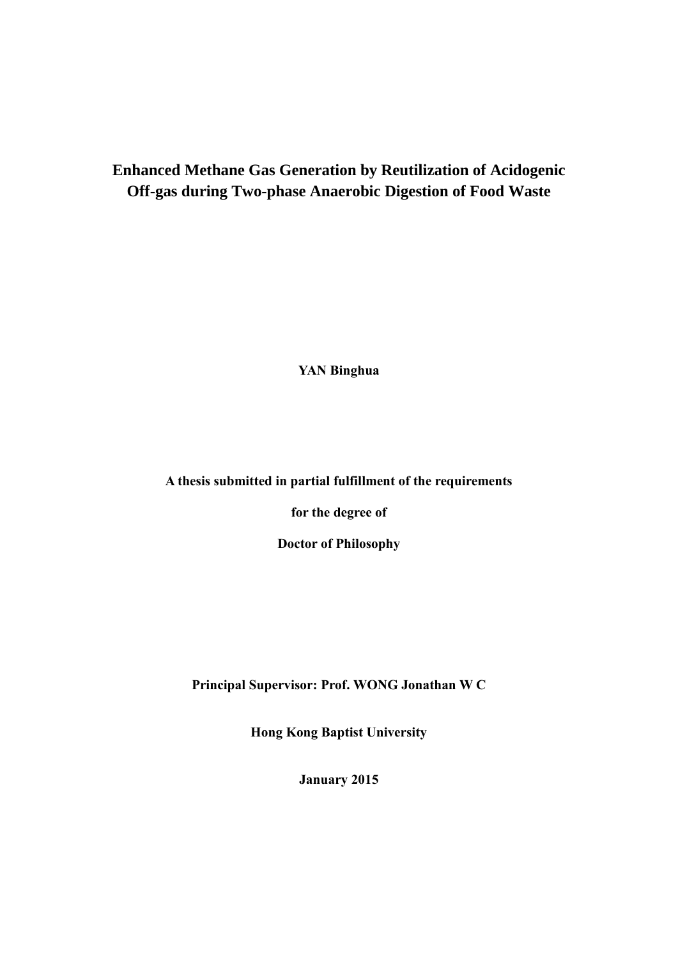## **Enhanced Methane Gas Generation by Reutilization of Acidogenic Off-gas during Two-phase Anaerobic Digestion of Food Waste**

**YAN Binghua**

**A thesis submitted in partial fulfillment of the requirements**

**for the degree of**

**Doctor of Philosophy**

**Principal Supervisor: Prof. WONG Jonathan W C**

**Hong Kong Baptist University**

**January 2015**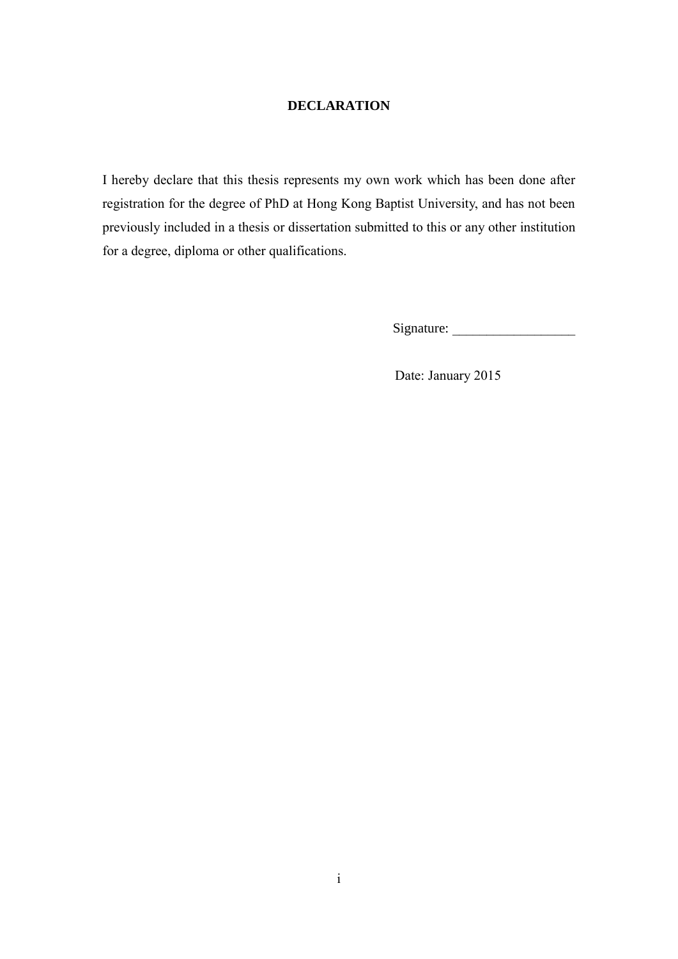### **DECLARATION**

I hereby declare that this thesis represents my own work which has been done after registration for the degree of PhD at Hong Kong Baptist University, and has not been previously included in a thesis or dissertation submitted to this or any other institution for a degree, diploma or other qualifications.

Signature: \_\_\_\_\_\_\_\_\_\_\_\_\_\_\_\_\_\_

Date: January 2015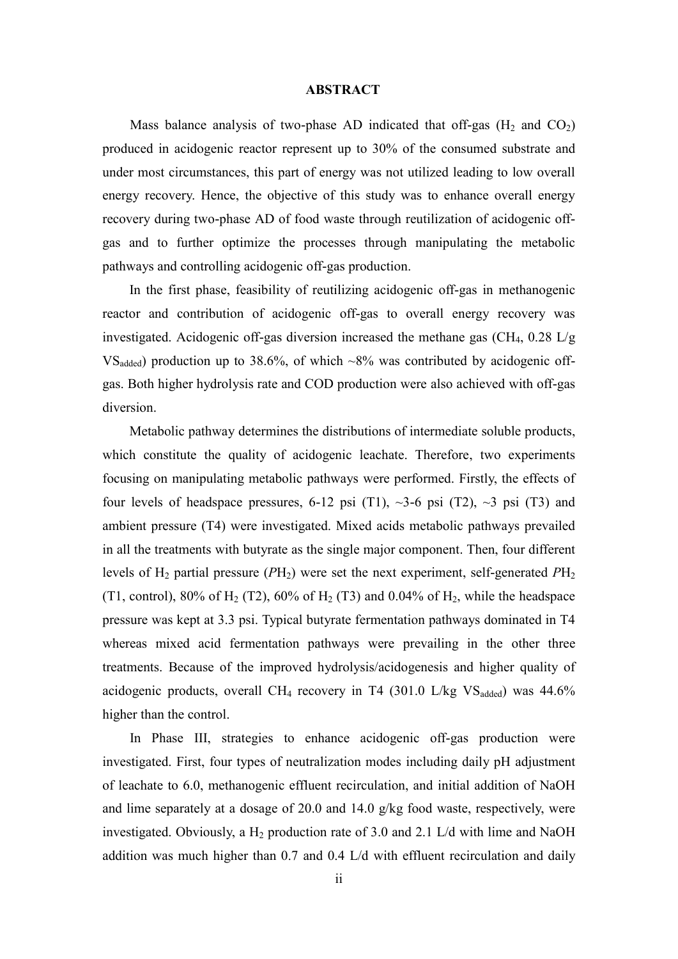### **ABSTRACT**

Mass balance analysis of two-phase AD indicated that off-gas  $(H_2 \text{ and } CO_2)$ produced in acidogenic reactor represent up to 30% of the consumed substrate and under most circumstances, this part of energy was not utilized leading to low overall energy recovery. Hence, the objective of this study was to enhance overall energy recovery during two-phase AD of food waste through reutilization of acidogenic offgas and to further optimize the processes through manipulating the metabolic pathways and controlling acidogenic off-gas production.

In the first phase, feasibility of reutilizing acidogenic off-gas in methanogenic reactor and contribution of acidogenic off-gas to overall energy recovery was investigated. Acidogenic off-gas diversion increased the methane gas  $\rm (CH_4, 0.28 \, L/g)$  $VS_{added}$ ) production up to 38.6%, of which  $\sim 8\%$  was contributed by acidogenic offgas. Both higher hydrolysis rate and COD production were also achieved with off-gas diversion.

Metabolic pathway determines the distributions of intermediate soluble products, which constitute the quality of acidogenic leachate. Therefore, two experiments focusing on manipulating metabolic pathways were performed. Firstly, the effects of four levels of headspace pressures, 6-12 psi (T1),  $\sim$ 3-6 psi (T2),  $\sim$ 3 psi (T3) and ambient pressure (T4) were investigated. Mixed acids metabolic pathways prevailed in all the treatments with butyrate as the single major component. Then, four different levels of  $H_2$  partial pressure ( $PH_2$ ) were set the next experiment, self-generated  $PH_2$ (T1, control), 80% of  $H_2$  (T2), 60% of  $H_2$  (T3) and 0.04% of  $H_2$ , while the headspace pressure was kept at 3.3 psi. Typical butyrate fermentation pathways dominated in T4 whereas mixed acid fermentation pathways were prevailing in the other three treatments. Because of the improved hydrolysis/acidogenesis and higher quality of acidogenic products, overall CH<sub>4</sub> recovery in T4 (301.0 L/kg  $VS_{\text{added}}$ ) was 44.6% higher than the control.

In Phase III, strategies to enhance acidogenic off-gas production were investigated. First, four types of neutralization modes including daily pH adjustment of leachate to 6.0, methanogenic effluent recirculation, and initial addition of NaOH and lime separately at a dosage of 20.0 and 14.0 g/kg food waste, respectively, were investigated. Obviously, a  $H_2$  production rate of 3.0 and 2.1 L/d with lime and NaOH addition was much higher than 0.7 and 0.4 L/d with effluent recirculation and daily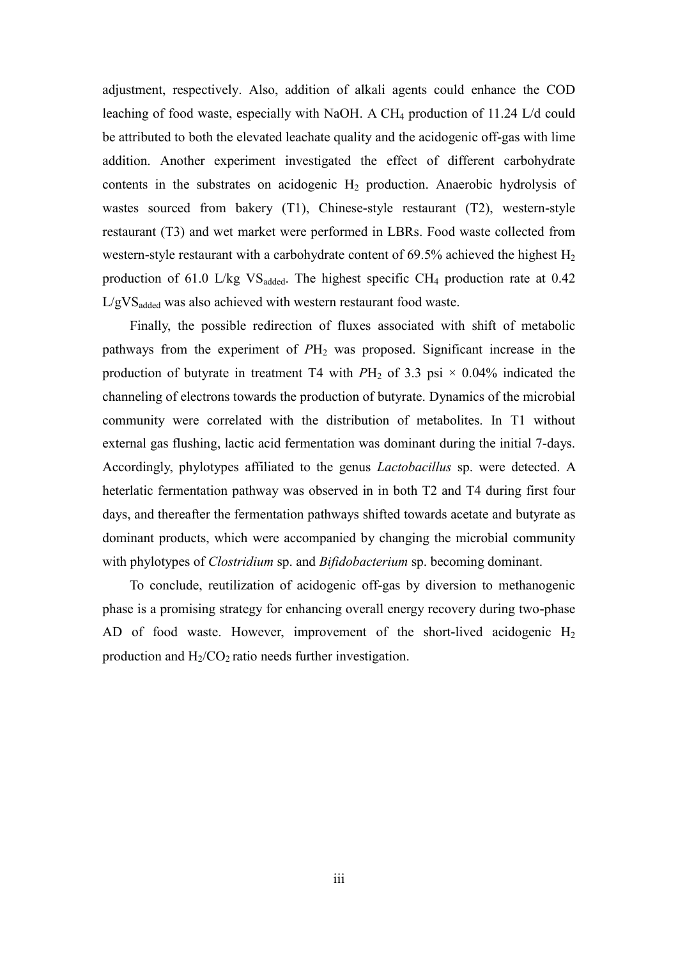adjustment, respectively. Also, addition of alkali agents could enhance the COD leaching of food waste, especially with NaOH. A  $CH_4$  production of 11.24 L/d could be attributed to both the elevated leachate quality and the acidogenic off-gas with lime addition. Another experiment investigated the effect of different carbohydrate contents in the substrates on acidogenic  $H_2$  production. Anaerobic hydrolysis of wastes sourced from bakery (T1), Chinese-style restaurant (T2), western-style restaurant (T3) and wet market were performed in LBRs. Food waste collected from western-style restaurant with a carbohydrate content of  $69.5\%$  achieved the highest  $H_2$ production of 61.0 L/kg  $VS_{added}$ . The highest specific CH<sub>4</sub> production rate at 0.42 L/gVS<sub>added</sub> was also achieved with western restaurant food waste.

Finally, the possible redirection of fluxes associated with shift of metabolic pathways from the experiment of  $PH_2$  was proposed. Significant increase in the production of butyrate in treatment T4 with  $PH_2$  of 3.3 psi  $\times$  0.04% indicated the channeling of electrons towards the production of butyrate. Dynamics of the microbial community were correlated with the distribution of metabolites. In T1 without external gas flushing, lactic acid fermentation was dominant during the initial 7-days. Accordingly, phylotypes affiliated to the genus *Lactobacillus* sp. were detected. A heterlatic fermentation pathway was observed in in both T2 and T4 during first four days, and thereafter the fermentation pathways shifted towards acetate and butyrate as dominant products, which were accompanied by changing the microbial community with phylotypes of *Clostridium* sp. and *Bifidobacterium* sp. becoming dominant.

To conclude, reutilization of acidogenic off-gas by diversion to methanogenic phase is a promising strategy for enhancing overall energy recovery during two-phase AD of food waste. However, improvement of the short-lived acidogenic  $H_2$ production and  $H_2/CO_2$  ratio needs further investigation.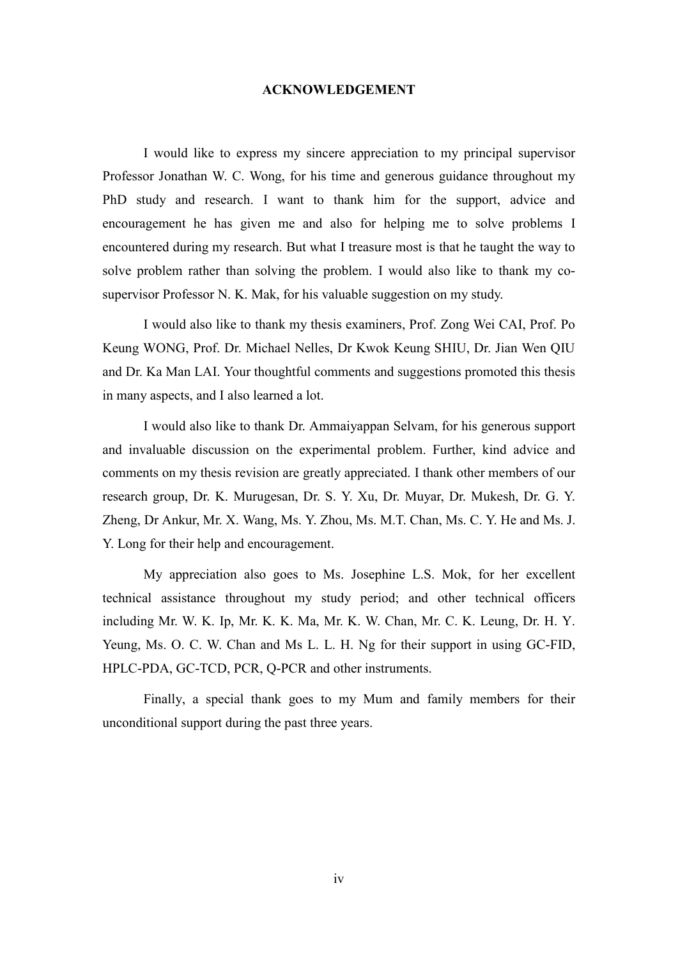### **ACKNOWLEDGEMENT**

I would like to express my sincere appreciation to my principal supervisor Professor Jonathan W. C. Wong, for his time and generous guidance throughout my PhD study and research. I want to thank him for the support, advice and encouragement he has given me and also for helping me to solve problems I encountered during my research. But what I treasure most is that he taught the way to solve problem rather than solving the problem. I would also like to thank my cosupervisor Professor N. K. Mak, for his valuable suggestion on my study.

I would also like to thank my thesis examiners, Prof. Zong Wei CAI, Prof. Po Keung WONG, Prof. Dr. Michael Nelles, Dr Kwok Keung SHIU, Dr. Jian Wen QIU and Dr. Ka Man LAI. Your thoughtful comments and suggestions promoted this thesis in many aspects, and I also learned a lot.

I would also like to thank Dr. Ammaiyappan Selvam, for his generous support and invaluable discussion on the experimental problem. Further, kind advice and comments on my thesis revision are greatly appreciated. I thank other members of our research group, Dr. K. Murugesan, Dr. S. Y. Xu, Dr. Muyar, Dr. Mukesh, Dr. G. Y. Zheng, Dr Ankur, Mr. X. Wang, Ms. Y. Zhou, Ms. M.T. Chan, Ms. C. Y. He and Ms. J. Y. Long for their help and encouragement.

My appreciation also goes to Ms. Josephine L.S. Mok, for her excellent technical assistance throughout my study period; and other technical officers including Mr. W. K. Ip, Mr. K. K. Ma, Mr. K. W. Chan, Mr. C. K. Leung, Dr. H. Y. Yeung, Ms. O. C. W. Chan and Ms L. L. H. Ng for their support in using GC-FID, HPLC-PDA, GC-TCD, PCR, Q-PCR and other instruments.

Finally, a special thank goes to my Mum and family members for their unconditional support during the past three years.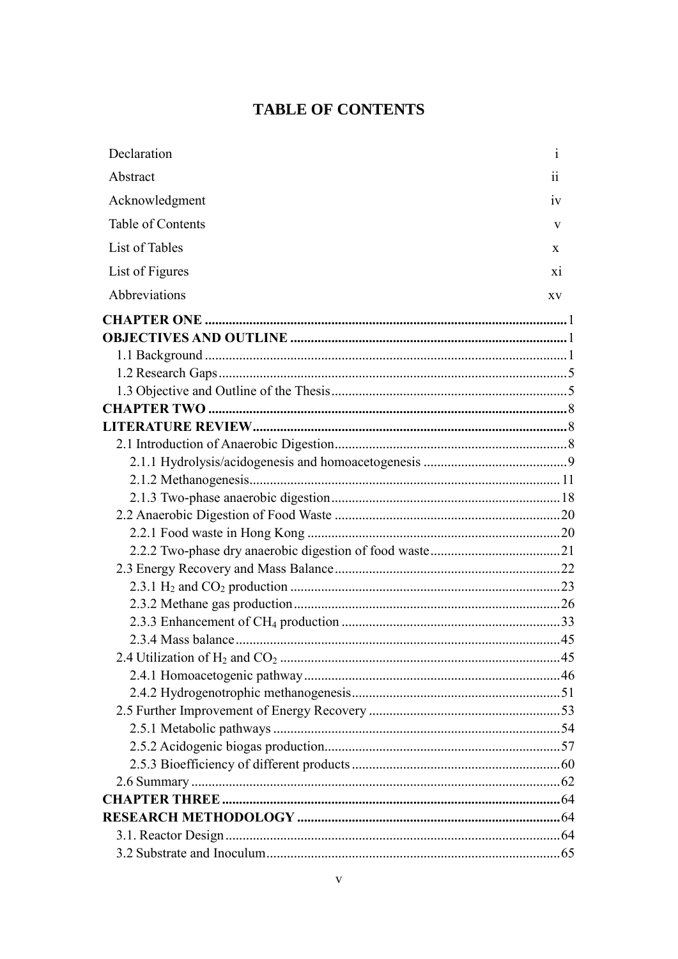## **TABLE OF CONTENTS**

| Declaration       | $\mathbf{1}$ |
|-------------------|--------------|
| Abstract          | 11           |
| Acknowledgment    | 1V           |
| Table of Contents | V            |
| List of Tables    | X            |
| List of Figures   | X1           |
| Abbreviations     | XV           |
|                   |              |
|                   |              |
|                   |              |
|                   |              |
|                   |              |
|                   |              |
|                   |              |
|                   |              |
|                   |              |
|                   |              |
|                   |              |
|                   |              |
|                   |              |
|                   |              |
|                   |              |
|                   |              |
|                   |              |
|                   |              |
|                   |              |
|                   |              |
|                   |              |
|                   |              |
|                   |              |
|                   |              |
|                   |              |
|                   |              |
|                   |              |
|                   |              |
|                   |              |
|                   |              |
|                   |              |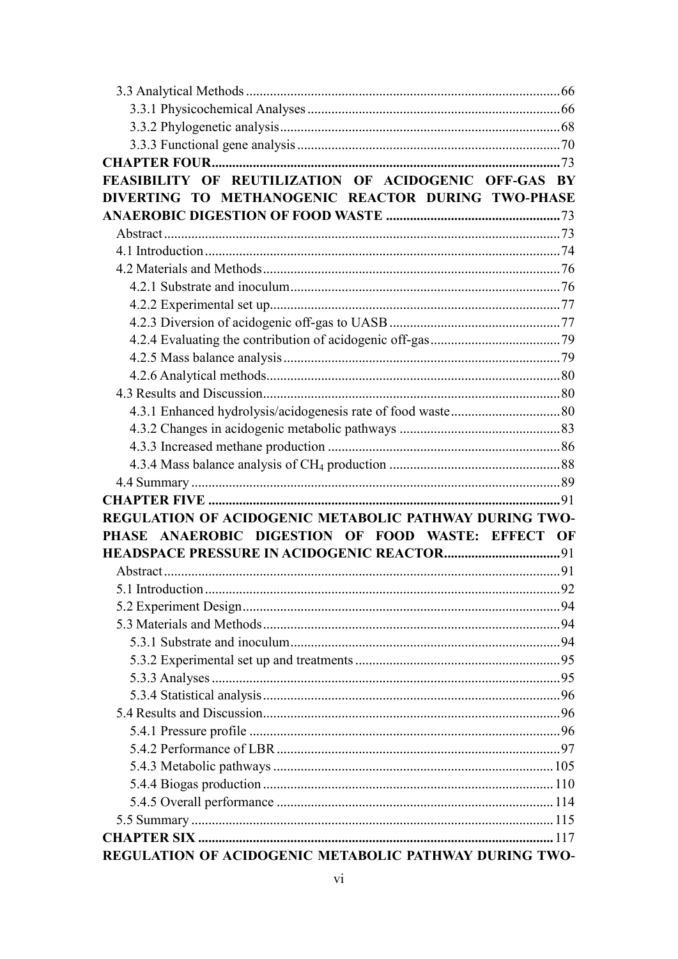| FEASIBILITY OF REUTILIZATION OF ACIDOGENIC OFF-GAS BY  |     |
|--------------------------------------------------------|-----|
| DIVERTING TO METHANOGENIC REACTOR DURING TWO-PHASE     |     |
|                                                        |     |
|                                                        |     |
|                                                        |     |
|                                                        |     |
|                                                        |     |
|                                                        |     |
|                                                        |     |
|                                                        |     |
|                                                        |     |
|                                                        |     |
|                                                        |     |
|                                                        |     |
|                                                        |     |
|                                                        |     |
|                                                        |     |
|                                                        |     |
|                                                        |     |
| REGULATION OF ACIDOGENIC METABOLIC PATHWAY DURING TWO- |     |
| PHASE ANAEROBIC DIGESTION OF FOOD WASTE: EFFECT OF     |     |
|                                                        |     |
|                                                        |     |
|                                                        | .92 |
|                                                        |     |
|                                                        |     |
|                                                        |     |
|                                                        |     |
|                                                        |     |
|                                                        |     |
|                                                        |     |
|                                                        |     |
|                                                        |     |
|                                                        |     |
|                                                        |     |
|                                                        |     |
|                                                        |     |
|                                                        |     |
| REGULATION OF ACIDOGENIC METABOLIC PATHWAY DURING TWO- |     |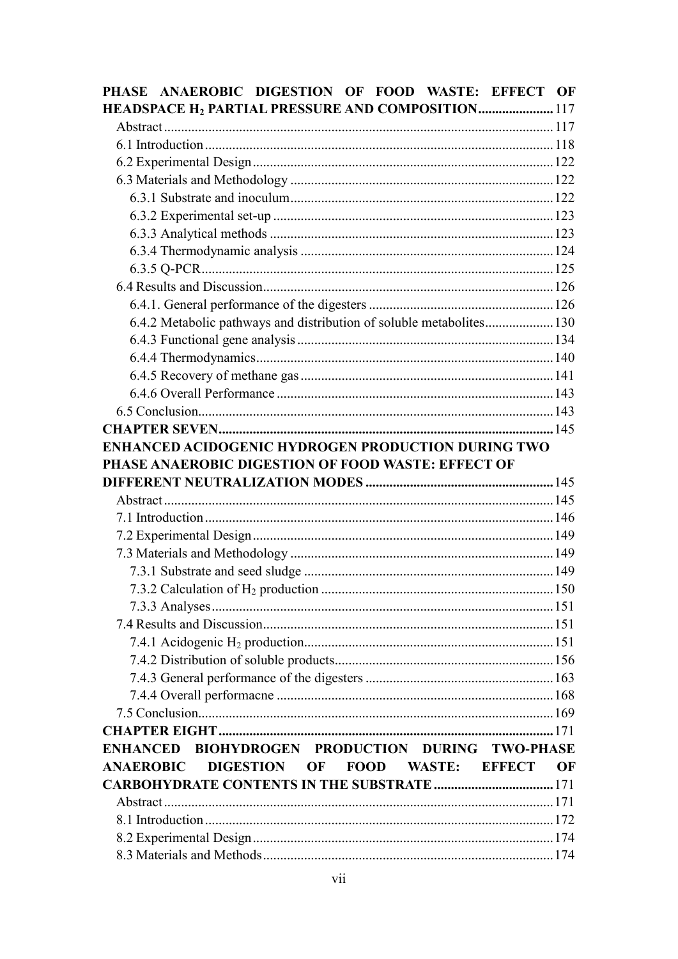|                  | PHASE ANAEROBIC DIGESTION OF FOOD WASTE: EFFECT OF                   |               |    |
|------------------|----------------------------------------------------------------------|---------------|----|
|                  | HEADSPACE H <sub>2</sub> PARTIAL PRESSURE AND COMPOSITION 117        |               |    |
|                  |                                                                      |               |    |
|                  |                                                                      |               |    |
|                  |                                                                      |               |    |
|                  |                                                                      |               |    |
|                  |                                                                      |               |    |
|                  |                                                                      |               |    |
|                  |                                                                      |               |    |
|                  |                                                                      |               |    |
|                  |                                                                      |               |    |
|                  |                                                                      |               |    |
|                  |                                                                      |               |    |
|                  | 6.4.2 Metabolic pathways and distribution of soluble metabolites 130 |               |    |
|                  |                                                                      |               |    |
|                  |                                                                      |               |    |
|                  |                                                                      |               |    |
|                  |                                                                      |               |    |
|                  |                                                                      |               |    |
|                  |                                                                      |               |    |
|                  | ENHANCED ACIDOGENIC HYDROGEN PRODUCTION DURING TWO                   |               |    |
|                  | PHASE ANAEROBIC DIGESTION OF FOOD WASTE: EFFECT OF                   |               |    |
|                  |                                                                      |               |    |
|                  |                                                                      |               |    |
|                  |                                                                      |               |    |
|                  |                                                                      |               |    |
|                  |                                                                      |               |    |
|                  |                                                                      |               |    |
|                  |                                                                      |               |    |
|                  |                                                                      |               |    |
|                  |                                                                      |               |    |
|                  |                                                                      |               |    |
|                  |                                                                      |               |    |
|                  |                                                                      |               |    |
|                  |                                                                      |               |    |
|                  |                                                                      |               |    |
|                  |                                                                      |               |    |
|                  | ENHANCED BIOHYDROGEN PRODUCTION DURING TWO-PHASE                     |               |    |
| <b>ANAEROBIC</b> | DIGESTION OF<br>FOOD WASTE:                                          | <b>EFFECT</b> | OF |
|                  | <b>CARBOHYDRATE CONTENTS IN THE SUBSTRATE </b> 171                   |               |    |
|                  |                                                                      |               |    |
|                  |                                                                      |               |    |
|                  |                                                                      |               |    |
|                  |                                                                      |               |    |